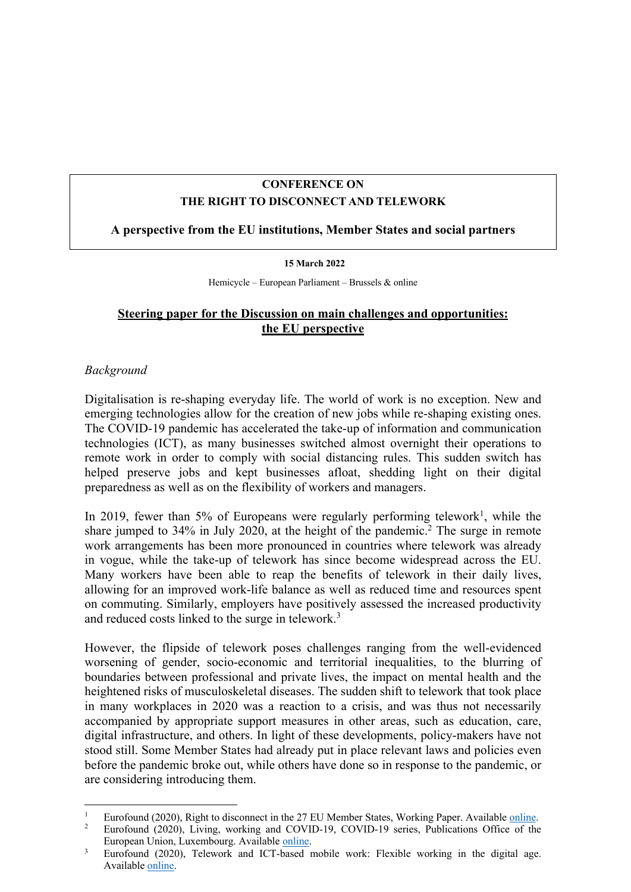## **CONFERENCE ON THE RIGHT TO DISCONNECT AND TELEWORK**

## **A perspective from the EU institutions, Member States and social partners**

#### **15 March 2022**

Hemicycle – European Parliament – Brussels & online

# **Steering paper for the Discussion on main challenges and opportunities: the EU perspective**

## *Background*

Digitalisation is re-shaping everyday life. The world of work is no exception. New and emerging technologies allow for the creation of new jobs while re-shaping existing ones. The COVID-19 pandemic has accelerated the take-up of information and communication technologies (ICT), as many businesses switched almost overnight their operations to remote work in order to comply with social distancing rules. This sudden switch has helped preserve jobs and kept businesses afloat, shedding light on their digital preparedness as well as on the flexibility of workers and managers.

In 2019, fewer than 5% of Europeans were regularly performing telework<sup>1</sup>, while the share jumped to 34% in July 2020, at the height of the pandemic. <sup>2</sup> The surge in remote work arrangements has been more pronounced in countries where telework was already in vogue, while the take-up of telework has since become widespread across the EU. Many workers have been able to reap the benefits of telework in their daily lives, allowing for an improved work-life balance as well as reduced time and resources spent on commuting. Similarly, employers have positively assessed the increased productivity and reduced costs linked to the surge in telework.<sup>3</sup>

However, the flipside of telework poses challenges ranging from the well-evidenced worsening of gender, socio-economic and territorial inequalities, to the blurring of boundaries between professional and private lives, the impact on mental health and the heightened risks of musculoskeletal diseases. The sudden shift to telework that took place in many workplaces in 2020 was a reaction to a crisis, and was thus not necessarily accompanied by appropriate support measures in other areas, such as education, care, digital infrastructure, and others. In light of these developments, policy-makers have not stood still. Some Member States had already put in place relevant laws and policies even before the pandemic broke out, while others have done so in response to the pandemic, or are considering introducing them.

<sup>&</sup>lt;sup>1</sup> Eurofound (2020), Right to disconnect in the 27 EU Member States, Working Paper. Available <u>online</u>.<br><sup>2</sup> Eurofound (2020), Living, working and COVID 10, COVID 10, garies, Publications Office of the

<sup>2</sup> Eurofound (2020), Living, working and COVID-19, COVID-19 series, Publications Office of the European Union, Luxembourg. Available <u>online</u>.<br><sup>3</sup> Eurofound (2020), Telework and ICT-based mobile work: Flexible working in the digital age.

Available online.